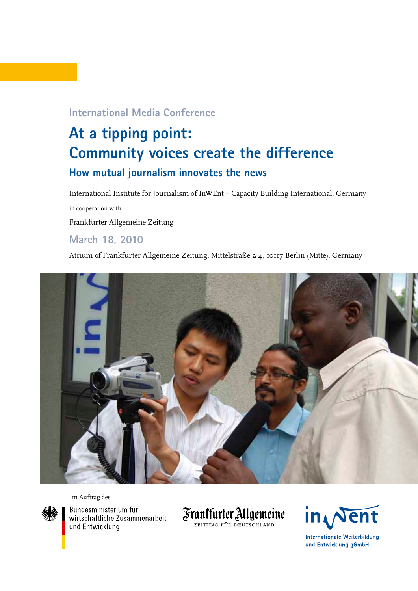## **International Media Conference**

# **At a tipping point: Community voices create the difference How mutual journalism innovates the news**

International Institute for Journalism of InWEnt – Capacity Building International, Germany in cooperation with Frankfurter Allgemeine Zeitung

# **March 18, 2010**

Atrium of Frankfurter Allgemeine Zeitung, Mittelstraße 2-4, 10117 Berlin (Mitte), Germany



Im Auftrag des



Bundesministerium für wirtschaftliche Zusammenarbeit und Entwicklung





**Internationale Weiterbildung** und Entwicklung gGmbH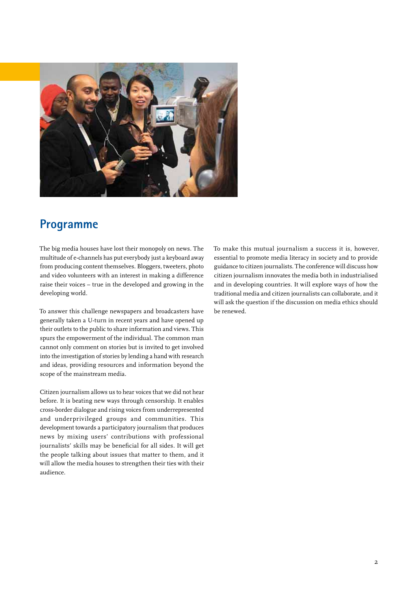

# **Programme**

The big media houses have lost their monopoly on news. The multitude of e-channels has put everybody just a keyboard away from producing content themselves. Bloggers, tweeters, photo and video volunteers with an interest in making a difference raise their voices – true in the developed and growing in the developing world.

To answer this challenge newspapers and broadcasters have generally taken a U-turn in recent years and have opened up their outlets to the public to share information and views. This spurs the empowerment of the individual. The common man cannot only comment on stories but is invited to get involved into the investigation of stories by lending a hand with research and ideas, providing resources and information beyond the scope of the mainstream media.

Citizen journalism allows us to hear voices that we did not hear before. It is beating new ways through censorship. It enables cross-border dialogue and rising voices from underrepresented and underprivileged groups and communities. This development towards a participatory journalism that produces news by mixing users' contributions with professional journalists' skills may be beneficial for all sides. It will get the people talking about issues that matter to them, and it will allow the media houses to strengthen their ties with their audience.

To make this mutual journalism a success it is, however, essential to promote media literacy in society and to provide guidance to citizen journalists. The conference will discuss how citizen journalism innovates the media both in industrialised and in developing countries. It will explore ways of how the traditional media and citizen journalists can collaborate, and it will ask the question if the discussion on media ethics should be renewed.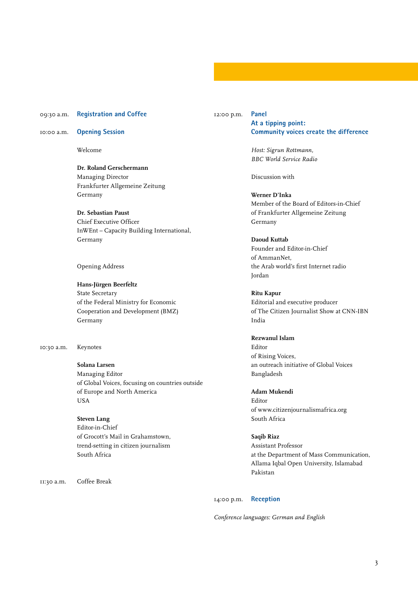#### 09:30 a.m. **Registration and Coffee**

10:00 a.m. **Opening Session** 

Welcome

**Dr. Roland Gerschermann**  Managing Director Frankfurter Allgemeine Zeitung Germany

**Dr. Sebastian Paust**  Chief Executive Officer InWEnt – Capacity Building International, Germany

#### Opening Address

**Hans-Jürgen Beerfeltz**  State Secretary of the Federal Ministry for Economic Cooperation and Development (BMZ) Germany

10:30 a.m. Keynotes

### **Solana Larsen**

Managing Editor of Global Voices, focusing on countries outside of Europe and North America USA

**Steven Lang** Editor-in-Chief of Grocott's Mail in Grahamstown, trend-setting in citizen journalism South Africa

11:30 a.m. Coffee Break

#### 12:00 p.m. **Panel At a tipping point: Community voices create the difference**

*Host: Sigrun Rottmann, BBC World Service Radio* 

Discussion with

**Werner D'Inka**  Member of the Board of Editors-in-Chief of Frankfurter Allgemeine Zeitung Germany

#### **Daoud Kuttab**

Founder and Editor-in-Chief of AmmanNet, the Arab world's first Internet radio Jordan

**Ritu Kapur** Editorial and executive producer of The Citizen Journalist Show at CNN-IBN India

#### **Rezwanul Islam**

Editor of Rising Voices, an outreach initiative of Global Voices Bangladesh

**Adam Mukendi**  Editor of www.citizenjournalismafrica.org South Africa

#### **Saqib Riaz**

Assistant Professor at the Department of Mass Communication, Allama Iqbal Open University, Islamabad Pakistan

#### 14:00 p.m. **Reception**

*Conference languages: German and English*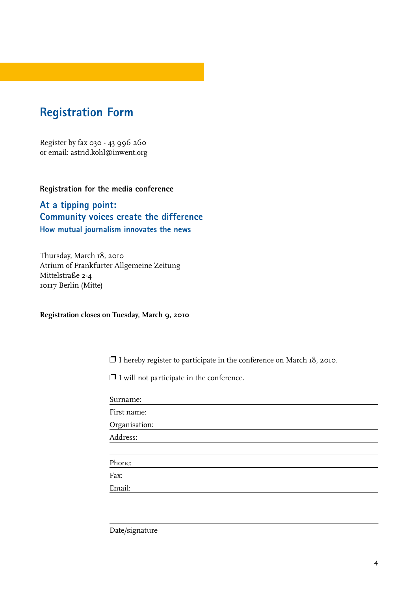# **Registration Form**

Register by fax 030 - 43 996 260 or email: astrid.kohl@inwent.org

### **Registration for the media conference**

### **At a tipping point: Community voices create the difference How mutual journalism innovates the news**

Thursday, March 18, 2010 Atrium of Frankfurter Allgemeine Zeitung Mittelstraße 2-4 10117 Berlin (Mitte)

### **Registration closes on Tuesday, March 9, 2010**

❐ I hereby register to participate in the conference on March 18, 2010.

❐ I will not participate in the conference.

| Surname:      |  |
|---------------|--|
| First name:   |  |
| Organisation: |  |
| Address:      |  |
|               |  |
| Phone:        |  |
| Fax:          |  |
| Email:        |  |
|               |  |

Date/signature